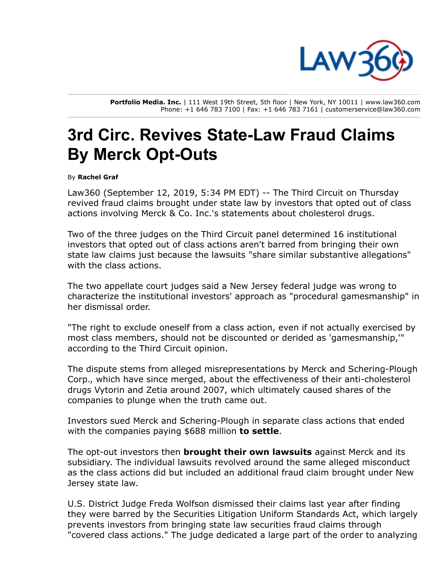

Portfolio Media. Inc. | 111 West 19th Street, 5th floor | New York, NY 10011 | www.law360.com Phone: +1 646 783 7100 | Fax: +1 646 783 7161 | customerservice@law360.com

## 3rd Circ. Revives State-Law Fraud Claims By Merck Opt-Outs

By Rachel Graf

Law360 (September 12, 2019, 5:34 PM EDT) -- The Third Circuit on Thursday revived fraud claims brought under state law by investors that opted out of class actions involving [Merck](https://www.law360.com/companies/merck-co-inc) & Co. Inc.'s statements about cholesterol drugs.

Two of the three judges on the Third Circuit panel determined 16 institutional investors that opted out of class actions aren't barred from bringing their own state law claims just because the lawsuits "share similar substantive allegations" with the class actions.

The two appellate court judges said a New Jersey federal judge was wrong to characterize the institutional investors' approach as "procedural gamesmanship" in her dismissal order.

"The right to exclude oneself from a class action, even if not actually exercised by most class members, should not be discounted or derided as 'gamesmanship,'" according to the Third Circuit opinion.

The dispute stems from alleged misrepresentations by Merck and Schering-Plough Corp., which have since merged, about the effectiveness of their anti-cholesterol drugs Vytorin and Zetia around 2007, which ultimately caused shares of the companies to plunge when the truth came out.

Investors sued Merck and Schering-Plough in separate class actions that ended with the companies paying \$688 million to [settle.](https://www.law360.com/articles/477350)

The opt-out investors then **brought their own [lawsuits](https://www.law360.com/articles/493316)** against Merck and its subsidiary. The individual lawsuits revolved around the same alleged misconduct as the class actions did but included an additional fraud claim brought under New Jersey state law.

U.S. District Judge Freda Wolfson dismissed their claims last year after finding they were barred by the Securities Litigation Uniform Standards Act, which largely prevents investors from bringing state law securities fraud claims through "covered class actions." The judge dedicated a large part of the order to analyzing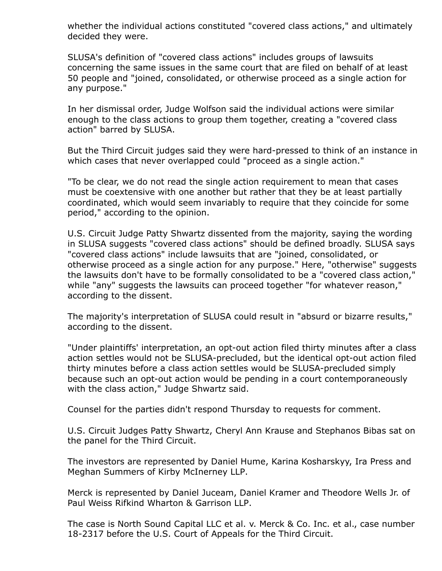whether the individual actions constituted "covered class actions," and ultimately decided they were.

SLUSA's definition of "covered class actions" includes groups of lawsuits concerning the same issues in the same court that are filed on behalf of at least 50 people and "joined, consolidated, or otherwise proceed as a single action for any purpose."

In her dismissal order, Judge Wolfson said the individual actions were similar enough to the class actions to group them together, creating a "covered class action" barred by SLUSA.

But the Third Circuit judges said they were hard-pressed to think of an instance in which cases that never overlapped could "proceed as a single action."

"To be clear, we do not read the single action requirement to mean that cases must be coextensive with one another but rather that they be at least partially coordinated, which would seem invariably to require that they coincide for some period," according to the opinion.

U.S. Circuit Judge Patty Shwartz dissented from the majority, saying the wording in SLUSA suggests "covered class actions" should be defined broadly. SLUSA says "covered class actions" include lawsuits that are "joined, consolidated, or otherwise proceed as a single action for any purpose." Here, "otherwise" suggests the lawsuits don't have to be formally consolidated to be a "covered class action," while "any" suggests the lawsuits can proceed together "for whatever reason," according to the dissent.

The majority's interpretation of SLUSA could result in "absurd or bizarre results," according to the dissent.

"Under plaintiffs' interpretation, an opt-out action filed thirty minutes after a class action settles would not be SLUSA-precluded, but the identical opt-out action filed thirty minutes before a class action settles would be SLUSA-precluded simply because such an opt-out action would be pending in a court contemporaneously with the class action," Judge Shwartz said.

Counsel for the parties didn't respond Thursday to requests for comment.

U.S. Circuit Judges Patty Shwartz, Cheryl Ann Krause and Stephanos Bibas sat on the panel for the Third Circuit.

The investors are represented by Daniel Hume, Karina Kosharskyy, Ira Press and Meghan Summers of Kirby [McInerney](https://www.law360.com/firms/kirby-mcinerney) LLP.

Merck is represented by Daniel Juceam, Daniel Kramer and Theodore Wells Jr. of Paul Weiss Rifkind [Wharton](https://www.law360.com/firms/paul-weiss) & Garrison LLP.

The case is North Sound Capital LLC et al. v. Merck & Co. Inc. et al., case number [18-2317](https://www.law360.com/cases/5b293ac8195b5e79a2000144) before the U.S. Court of [Appeals](https://www.law360.com/agencies/u-s-court-of-appeals-for-the-third-circuit) for the Third Circuit.